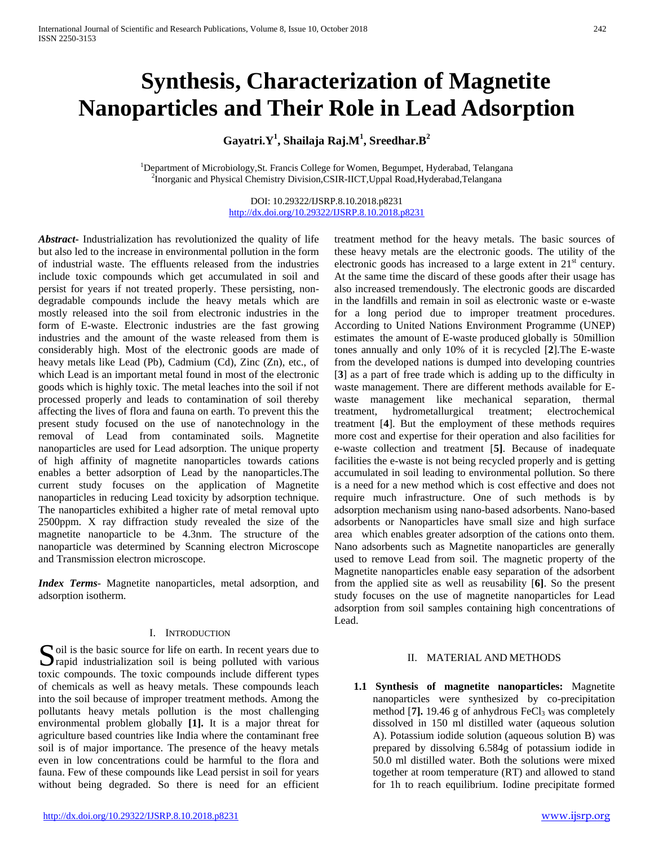# **Synthesis, Characterization of Magnetite Nanoparticles and Their Role in Lead Adsorption**

## **Gayatri.Y1 , Shailaja Raj.M<sup>1</sup> , Sreedhar.B<sup>2</sup>**

<sup>1</sup>Department of Microbiology,St. Francis College for Women, Begumpet, Hyderabad, Telangana <sup>2</sup>Inorganic and Physical Chemistry Division,CSIR-IICT,Uppal Road,Hyderabad,Telangana

> DOI: 10.29322/IJSRP.8.10.2018.p8231 <http://dx.doi.org/10.29322/IJSRP.8.10.2018.p8231>

*Abstract***-** Industrialization has revolutionized the quality of life but also led to the increase in environmental pollution in the form of industrial waste. The effluents released from the industries include toxic compounds which get accumulated in soil and persist for years if not treated properly. These persisting, nondegradable compounds include the heavy metals which are mostly released into the soil from electronic industries in the form of E-waste. Electronic industries are the fast growing industries and the amount of the waste released from them is considerably high. Most of the electronic goods are made of heavy metals like Lead (Pb), Cadmium (Cd), Zinc (Zn), etc., of which Lead is an important metal found in most of the electronic goods which is highly toxic. The metal leaches into the soil if not processed properly and leads to contamination of soil thereby affecting the lives of flora and fauna on earth. To prevent this the present study focused on the use of nanotechnology in the removal of Lead from contaminated soils. Magnetite nanoparticles are used for Lead adsorption. The unique property of high affinity of magnetite nanoparticles towards cations enables a better adsorption of Lead by the nanoparticles.The current study focuses on the application of Magnetite nanoparticles in reducing Lead toxicity by adsorption technique. The nanoparticles exhibited a higher rate of metal removal upto 2500ppm. X ray diffraction study revealed the size of the magnetite nanoparticle to be 4.3nm. The structure of the nanoparticle was determined by Scanning electron Microscope and Transmission electron microscope.

*Index Terms*- Magnetite nanoparticles, metal adsorption, and adsorption isotherm.

### I. INTRODUCTION

Soil is the basic source for life on earth. In recent years due to rapid industrialization soil is being polluted with various rapid industrialization soil is being polluted with various toxic compounds. The toxic compounds include different types of chemicals as well as heavy metals. These compounds leach into the soil because of improper treatment methods. Among the pollutants heavy metals pollution is the most challenging environmental problem globally **[1].** It is a major threat for agriculture based countries like India where the contaminant free soil is of major importance. The presence of the heavy metals even in low concentrations could be harmful to the flora and fauna. Few of these compounds like Lead persist in soil for years without being degraded. So there is need for an efficient

treatment method for the heavy metals. The basic sources of these heavy metals are the electronic goods. The utility of the electronic goods has increased to a large extent in 21<sup>st</sup> century. At the same time the discard of these goods after their usage has also increased tremendously. The electronic goods are discarded in the landfills and remain in soil as electronic waste or e-waste for a long period due to improper treatment procedures. According to United Nations Environment Programme (UNEP) estimates the amount of E-waste produced globally is 50million tones annually and only 10% of it is recycled [**2**].The E-waste from the developed nations is dumped into developing countries [**3**] as a part of free trade which is adding up to the difficulty in waste management. There are different methods available for Ewaste management like mechanical separation, thermal treatment, hydrometallurgical treatment; electrochemical treatment [**4**]. But the employment of these methods requires more cost and expertise for their operation and also facilities for e-waste collection and treatment [**5]**. Because of inadequate facilities the e-waste is not being recycled properly and is getting accumulated in soil leading to environmental pollution. So there is a need for a new method which is cost effective and does not require much infrastructure. One of such methods is by adsorption mechanism using nano-based adsorbents. Nano-based adsorbents or Nanoparticles have small size and high surface area which enables greater adsorption of the cations onto them. Nano adsorbents such as Magnetite nanoparticles are generally used to remove Lead from soil. The magnetic property of the Magnetite nanoparticles enable easy separation of the adsorbent from the applied site as well as reusability [**6]**. So the present study focuses on the use of magnetite nanoparticles for Lead adsorption from soil samples containing high concentrations of Lead.

## II. MATERIAL AND METHODS

**1.1 Synthesis of magnetite nanoparticles:** Magnetite nanoparticles were synthesized by co-precipitation method  $[7]$ . 19.46 g of anhydrous  $FeCl<sub>3</sub>$  was completely dissolved in 150 ml distilled water (aqueous solution A). Potassium iodide solution (aqueous solution B) was prepared by dissolving 6.584g of potassium iodide in 50.0 ml distilled water. Both the solutions were mixed together at room temperature (RT) and allowed to stand for 1h to reach equilibrium. Iodine precipitate formed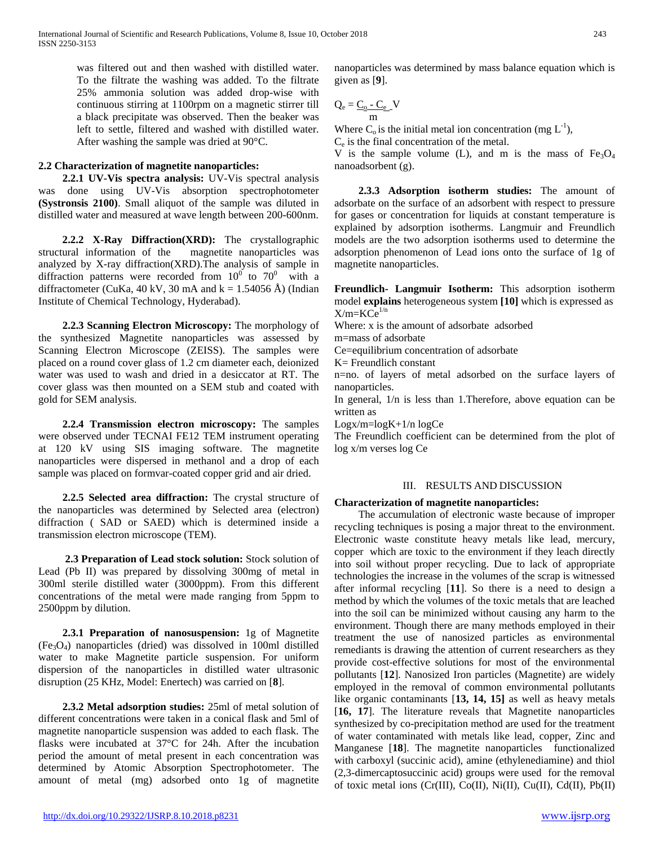was filtered out and then washed with distilled water. To the filtrate the washing was added. To the filtrate 25% ammonia solution was added drop-wise with continuous stirring at 1100rpm on a magnetic stirrer till a black precipitate was observed. Then the beaker was left to settle, filtered and washed with distilled water. After washing the sample was dried at 90°C.

## **2.2 Characterization of magnetite nanoparticles:**

 **2.2.1 UV-Vis spectra analysis:** UV-Vis spectral analysis was done using UV-Vis absorption spectrophotometer **(Systronsis 2100)**. Small aliquot of the sample was diluted in distilled water and measured at wave length between 200-600nm.

 **2.2.2 X-Ray Diffraction(XRD):** The crystallographic structural information of the magnetite nanoparticles was analyzed by X-ray diffraction(XRD).The analysis of sample in diffraction patterns were recorded from  $10^0$  to  $70^0$  with a diffractometer (CuKa, 40 kV, 30 mA and k = 1.54056 Å) (Indian Institute of Chemical Technology, Hyderabad).

 **2.2.3 Scanning Electron Microscopy:** The morphology of the synthesized Magnetite nanoparticles was assessed by Scanning Electron Microscope (ZEISS). The samples were placed on a round cover glass of 1.2 cm diameter each, deionized water was used to wash and dried in a desiccator at RT. The cover glass was then mounted on a SEM stub and coated with gold for SEM analysis.

 **2.2.4 Transmission electron microscopy:** The samples were observed under TECNAI FE12 TEM instrument operating at 120 kV using SIS imaging software. The magnetite nanoparticles were dispersed in methanol and a drop of each sample was placed on formvar-coated copper grid and air dried.

 **2.2.5 Selected area diffraction:** The crystal structure of the nanoparticles was determined by Selected area (electron) diffraction ( SAD or SAED) which is determined inside a transmission electron microscope (TEM).

 **2.3 Preparation of Lead stock solution:** Stock solution of Lead (Pb II) was prepared by dissolving 300mg of metal in 300ml sterile distilled water (3000ppm). From this different concentrations of the metal were made ranging from 5ppm to 2500ppm by dilution.

 **2.3.1 Preparation of nanosuspension:** 1g of Magnetite  $(F_{e3}O_4)$  nanoparticles (dried) was dissolved in 100ml distilled water to make Magnetite particle suspension. For uniform dispersion of the nanoparticles in distilled water ultrasonic disruption (25 KHz, Model: Enertech) was carried on [**8**].

 **2.3.2 Metal adsorption studies:** 25ml of metal solution of different concentrations were taken in a conical flask and 5ml of magnetite nanoparticle suspension was added to each flask. The flasks were incubated at 37°C for 24h. After the incubation period the amount of metal present in each concentration was determined by Atomic Absorption Spectrophotometer. The amount of metal (mg) adsorbed onto 1g of magnetite nanoparticles was determined by mass balance equation which is given as [**9**].

$$
Q_e = \underline{C_o - C_e} \quad V
$$

Where  $C_0$  is the initial metal ion concentration (mg  $L^{-1}$ ),

Ce is the final concentration of the metal.

V is the sample volume (L), and m is the mass of  $Fe<sub>3</sub>O<sub>4</sub>$ nanoadsorbent (g).

 **2.3.3 Adsorption isotherm studies:** The amount of adsorbate on the surface of an adsorbent with respect to pressure for gases or concentration for liquids at constant temperature is explained by adsorption isotherms. Langmuir and Freundlich models are the two adsorption isotherms used to determine the adsorption phenomenon of Lead ions onto the surface of 1g of magnetite nanoparticles.

**Freundlich- Langmuir Isotherm:** This adsorption isotherm model **explains** heterogeneous system **[10]** which is expressed as  $X/m=KCe^{1/n}$ 

Where: x is the amount of adsorbate adsorbed

m=mass of adsorbate

Ce=equilibrium concentration of adsorbate

K= Freundlich constant

n=no. of layers of metal adsorbed on the surface layers of nanoparticles.

In general, 1/n is less than 1.Therefore, above equation can be written as

Logx/m=logK+1/n logCe

The Freundlich coefficient can be determined from the plot of log x/m verses log Ce

## III. RESULTS AND DISCUSSION

## **Characterization of magnetite nanoparticles:**

The accumulation of electronic waste because of improper recycling techniques is posing a major threat to the environment. Electronic waste constitute heavy metals like lead, mercury, copper which are toxic to the environment if they leach directly into soil without proper recycling. Due to lack of appropriate technologies the increase in the volumes of the scrap is witnessed after informal recycling [**11**]. So there is a need to design a method by which the volumes of the toxic metals that are leached into the soil can be minimized without causing any harm to the environment. Though there are many methods employed in their treatment the use of nanosized particles as environmental remediants is drawing the attention of current researchers as they provide cost-effective solutions for most of the environmental pollutants [**12**]. Nanosized Iron particles (Magnetite) are widely employed in the removal of common environmental pollutants like organic contaminants [**13, 14, 15]** as well as heavy metals [16, 17]. The literature reveals that Magnetite nanoparticles synthesized by co-precipitation method are used for the treatment of water contaminated with metals like lead, copper, Zinc and Manganese [**18**]. The magnetite nanoparticles functionalized with carboxyl (succinic acid), amine (ethylenediamine) and thiol (2,3-dimercaptosuccinic acid) groups were used for the removal of toxic metal ions (Cr(III), Co(II), Ni(II), Cu(II), Cd(II), Pb(II)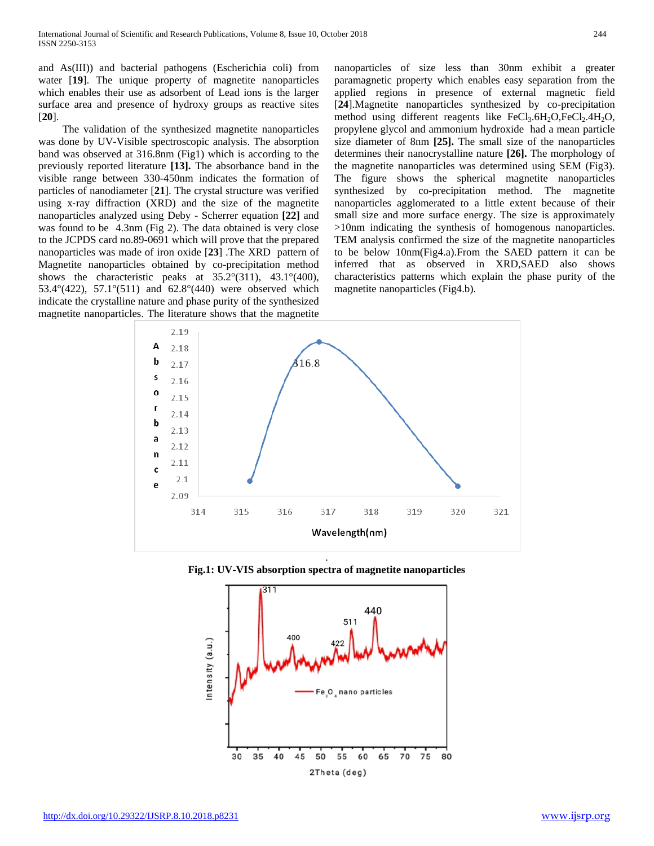and As(III)) and bacterial pathogens (Escherichia coli) from water [19]. The unique property of magnetite nanoparticles which enables their use as adsorbent of Lead ions is the larger surface area and presence of hydroxy groups as reactive sites [**20**].

The validation of the synthesized magnetite nanoparticles was done by UV-Visible spectroscopic analysis. The absorption band was observed at 316.8nm (Fig1) which is according to the previously reported literature **[13].** The absorbance band in the visible range between 330-450nm indicates the formation of particles of nanodiameter [**21**]. The crystal structure was verified using x‐ray diffraction (XRD) and the size of the magnetite nanoparticles analyzed using Deby - Scherrer equation **[22]** and was found to be 4.3nm (Fig 2). The data obtained is very close to the JCPDS card no.89-0691 which will prove that the prepared nanoparticles was made of iron oxide [**23**] .The XRD pattern of Magnetite nanoparticles obtained by co-precipitation method shows the characteristic peaks at  $35.2^{\circ}(311)$ ,  $43.1^{\circ}(400)$ , 53.4°(422), 57.1°(511) and 62.8°(440) were observed which indicate the crystalline nature and phase purity of the synthesized magnetite nanoparticles. The literature shows that the magnetite

nanoparticles of size less than 30nm exhibit a greater paramagnetic property which enables easy separation from the applied regions in presence of external magnetic field [**24**].Magnetite nanoparticles synthesized by co-precipitation method using different reagents like  $FeCl<sub>3</sub>.6H<sub>2</sub>O,FeCl<sub>2</sub>.4H<sub>2</sub>O$ , propylene glycol and ammonium hydroxide had a mean particle size diameter of 8nm **[25].** The small size of the nanoparticles determines their nanocrystalline nature **[26].** The morphology of the magnetite nanoparticles was determined using SEM (Fig3). The figure shows the spherical magnetite nanoparticles synthesized by co-precipitation method. The magnetite nanoparticles agglomerated to a little extent because of their small size and more surface energy. The size is approximately >10nm indicating the synthesis of homogenous nanoparticles. TEM analysis confirmed the size of the magnetite nanoparticles to be below 10nm(Fig4.a).From the SAED pattern it can be inferred that as observed in XRD,SAED also shows characteristics patterns which explain the phase purity of the magnetite nanoparticles (Fig4.b).





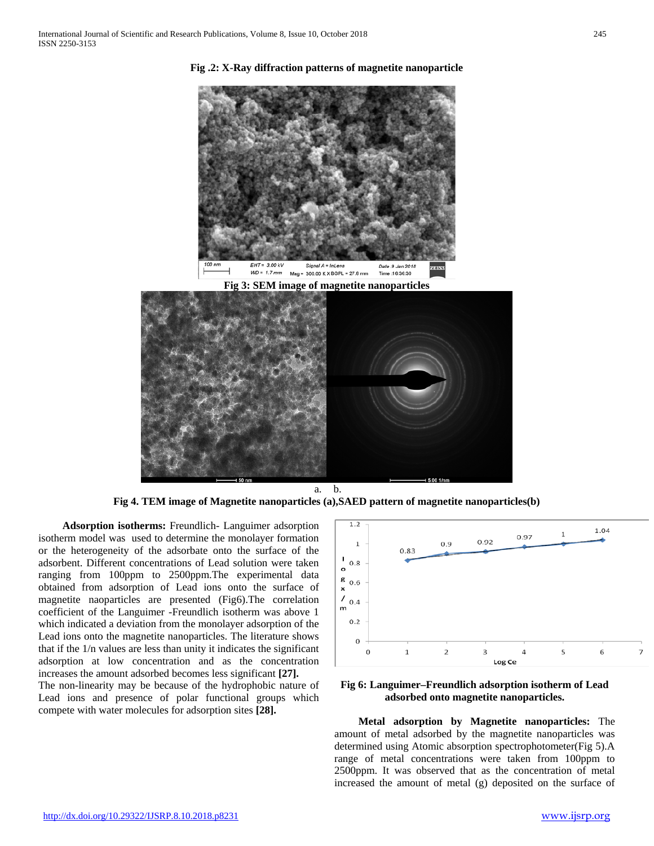

**Fig .2: X-Ray diffraction patterns of magnetite nanoparticle**



a. b. **Fig 4. TEM image of Magnetite nanoparticles (a),SAED pattern of magnetite nanoparticles(b)**

 **Adsorption isotherms:** Freundlich- Languimer adsorption isotherm model was used to determine the monolayer formation or the heterogeneity of the adsorbate onto the surface of the adsorbent. Different concentrations of Lead solution were taken ranging from 100ppm to 2500ppm.The experimental data obtained from adsorption of Lead ions onto the surface of magnetite naoparticles are presented (Fig6).The correlation coefficient of the Languimer -Freundlich isotherm was above 1 which indicated a deviation from the monolayer adsorption of the Lead ions onto the magnetite nanoparticles. The literature shows that if the 1/n values are less than unity it indicates the significant adsorption at low concentration and as the concentration increases the amount adsorbed becomes less significant **[27].** 

The non-linearity may be because of the hydrophobic nature of Lead ions and presence of polar functional groups which compete with water molecules for adsorption sites **[28].**



**Fig 6: Languimer–Freundlich adsorption isotherm of Lead adsorbed onto magnetite nanoparticles.**

 **Metal adsorption by Magnetite nanoparticles:** The amount of metal adsorbed by the magnetite nanoparticles was determined using Atomic absorption spectrophotometer(Fig 5).A range of metal concentrations were taken from 100ppm to 2500ppm. It was observed that as the concentration of metal increased the amount of metal (g) deposited on the surface of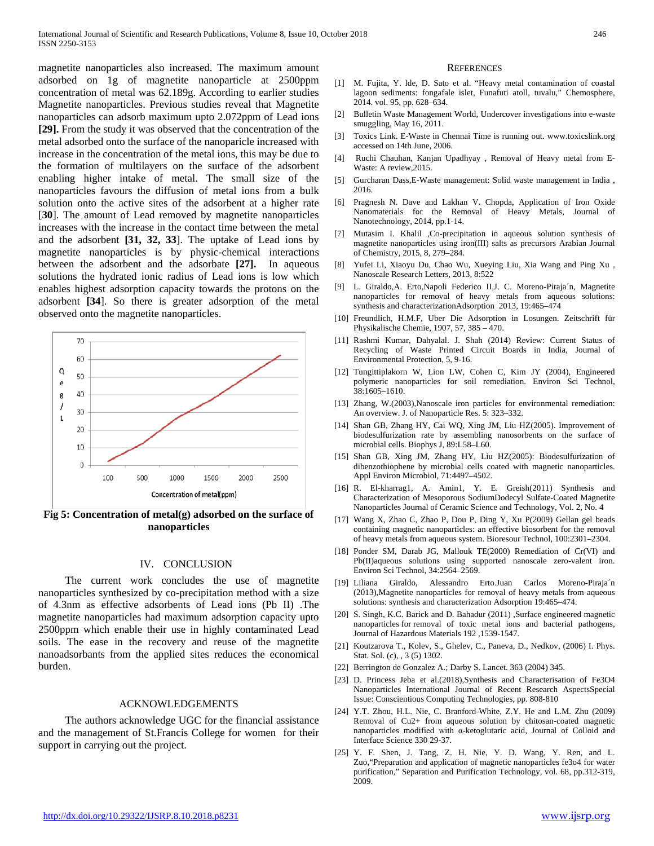magnetite nanoparticles also increased. The maximum amount adsorbed on 1g of magnetite nanoparticle at 2500ppm concentration of metal was 62.189g. According to earlier studies Magnetite nanoparticles. Previous studies reveal that Magnetite nanoparticles can adsorb maximum upto 2.072ppm of Lead ions **[29].** From the study it was observed that the concentration of the metal adsorbed onto the surface of the nanoparicle increased with increase in the concentration of the metal ions, this may be due to the formation of multilayers on the surface of the adsorbent enabling higher intake of metal. The small size of the nanoparticles favours the diffusion of metal ions from a bulk solution onto the active sites of the adsorbent at a higher rate [**30**]. The amount of Lead removed by magnetite nanoparticles increases with the increase in the contact time between the metal and the adsorbent **[31, 32, 33**]. The uptake of Lead ions by magnetite nanoparticles is by physic-chemical interactions between the adsorbent and the adsorbate **[27].** In aqueous solutions the hydrated ionic radius of Lead ions is low which enables highest adsorption capacity towards the protons on the adsorbent **[34**]. So there is greater adsorption of the metal observed onto the magnetite nanoparticles.



**Fig 5: Concentration of metal(g) adsorbed on the surface of nanoparticles**

#### IV. CONCLUSION

The current work concludes the use of magnetite nanoparticles synthesized by co-precipitation method with a size of 4.3nm as effective adsorbents of Lead ions (Pb II) .The magnetite nanoparticles had maximum adsorption capacity upto 2500ppm which enable their use in highly contaminated Lead soils. The ease in the recovery and reuse of the magnetite nanoadsorbants from the applied sites reduces the economical burden.

#### ACKNOWLEDGEMENTS

The authors acknowledge UGC for the financial assistance and the management of St.Francis College for women for their support in carrying out the project.

#### **REFERENCES**

- [1] M. Fujita, Y. lde, D. Sato et al. "Heavy metal contamination of coastal lagoon sediments: fongafale islet, Funafuti atoll, tuvalu," Chemosphere, 2014. vol. 95, pp. 628–634.
- [2] Bulletin Waste Management World, Undercover investigations into e-waste smuggling, May 16, 2011.
- [3] Toxics Link. E-Waste in Chennai Time is running out. www.toxicslink.org accessed on 14th June, 2006.
- [4] Ruchi Chauhan, Kanjan Upadhyay , Removal of Heavy metal from E-Waste: A review,2015.
- [5] Gurcharan Dass,E-Waste management: Solid waste management in India , 2016.
- [6] Pragnesh N. Dave and Lakhan V. Chopda, Application of Iron Oxide Nanomaterials for the Removal of Heavy Metals, Journal of Nanotechnology, 2014, pp.1-14.
- [7] Mutasim I. Khalil ,Co-precipitation in aqueous solution synthesis of magnetite nanoparticles using iron(III) salts as precursors Arabian Journal of Chemistry, 2015, 8, 279–284.
- [8] Yufei Li, Xiaoyu Du, Chao Wu, Xueying Liu, Xia Wang and Ping Xu , Nanoscale Research Letters, 2013, 8:522
- [9] L. Giraldo,A. Erto,Napoli Federico II,J. C. Moreno-Piraja´n, Magnetite nanoparticles for removal of heavy metals from aqueous solutions: synthesis and characterizationAdsorption 2013, 19:465–474
- [10] Freundlich, H.M.F, Uber Die Adsorption in Losungen. Zeitschrift für Physikalische Chemie, 1907, 57, 385 – 470.
- [11] Rashmi Kumar, Dahyalal. J. Shah (2014) Review: Current Status of Recycling of Waste Printed Circuit Boards in India, Journal of Environmental Protection, 5, 9-16.
- [12] Tungittiplakorn W, Lion LW, Cohen C, Kim JY (2004), Engineered polymeric nanoparticles for soil remediation. Environ Sci Technol, 38:1605–1610.
- [13] Zhang, W.(2003), Nanoscale iron particles for environmental remediation: An overview. J. of Nanoparticle Res. 5: 323–332.
- [14] Shan GB, Zhang HY, Cai WQ, Xing JM, Liu HZ(2005). Improvement of biodesulfurization rate by assembling nanosorbents on the surface of microbial cells. Biophys J, 89:L58–L60.
- [15] Shan GB, Xing JM, Zhang HY, Liu HZ(2005): Biodesulfurization of dibenzothiophene by microbial cells coated with magnetic nanoparticles. Appl Environ Microbiol, 71:4497–4502.
- [16] R. El-kharrag1, A. Amin1, Y. E. Greish(2011) Synthesis and Characterization of Mesoporous SodiumDodecyl Sulfate-Coated Magnetite Nanoparticles Journal of Ceramic Science and Technology, Vol. 2, No. 4
- [17] Wang X, Zhao C, Zhao P, Dou P, Ding Y, Xu P(2009) Gellan gel beads containing magnetic nanoparticles: an effective biosorbent for the removal of heavy metals from aqueous system. Bioresour Technol, 100:2301–2304.
- [18] Ponder SM, Darab JG, Mallouk TE(2000) Remediation of Cr(VI) and Pb(II)aqueous solutions using supported nanoscale zero-valent iron. Environ Sci Technol, 34:2564–2569.
- [19] Liliana Giraldo, Alessandro Erto.Juan Carlos Moreno-Piraja´n (2013),Magnetite nanoparticles for removal of heavy metals from aqueous solutions: synthesis and characterization Adsorption 19:465–474.
- [20] S. Singh, K.C. Barick and D. Bahadur (2011) ,Surface engineered magnetic nanoparticles for removal of toxic metal ions and bacterial pathogens, Journal of Hazardous Materials 192 ,1539-1547.
- [21] Koutzarova T., Kolev, S., Ghelev, C., Paneva, D., Nedkov, (2006) I. Phys. Stat. Sol. (c), , 3 (5) 1302.
- [22] Berrington de Gonzalez A.; Darby S. Lancet. 363 (2004) 345.
- [23] D. Princess Jeba et al.(2018), Synthesis and Characterisation of Fe3O4 Nanoparticles International Journal of Recent Research AspectsSpecial Issue: Conscientious Computing Technologies, pp. 808-810
- [24] Y.T. Zhou, H.L. Nie, C. Branford-White, Z.Y. He and L.M. Zhu (2009) Removal of Cu2+ from aqueous solution by chitosan-coated magnetic nanoparticles modified with α-ketoglutaric acid, Journal of Colloid and Interface Science 330 29-37.
- [25] Y. F. Shen, J. Tang, Z. H. Nie, Y. D. Wang, Y. Ren, and L. Zuo,"Preparation and application of magnetic nanoparticles fe3o4 for water purification," Separation and Purification Technology, vol. 68, pp.312-319, 2009.